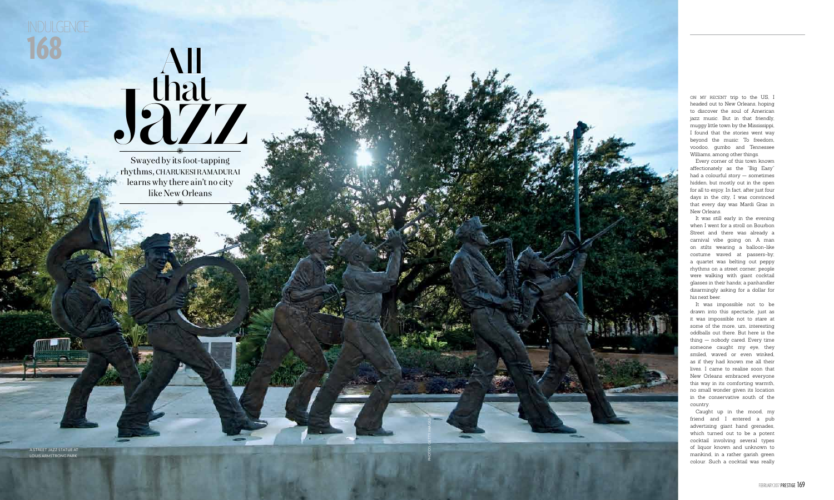Photos: getty images

168 indulgence

A street j azz statue at LOUIS ARMSTRONG PARK

on my recent trip to the US, I headed out to New Orleans, hoping to discover the soul of American jazz music. But in that friendly, muggy little town by the Mississippi, I found that the stories went way beyond the music: To freedom, voodoo, gumbo and Tennessee Williams, among other things.

Every corner of this town known affectionately as the "Big Easy" had a colourful story — sometimes hidden, but mostly out in the open for all to enjoy. In fact, after just four days in the city, I was convinced that every day was Mardi Gras in New Orleans.

It was still early in the evening when I went for a stroll on Bourbon Street and there was already a carnival vibe going on. A man on stilts wearing a balloon-like costume waved at passers-by; a quartet was belting out peppy rhythms on a street corner; people were walking with giant cocktail glasses in their hands; a panhandler disarmingly asking for a dollar for his next beer.

Swayed by its foot-tapping rhythms, charukesiramadurai learns why there ain't no city Wed by its foot-tap<br>S, CHARUKESI RAM<br>S why there ain't n<br>like New Orleans



It was impossible not to be drawn into this spectacle, just as it was impossible not to stare at some of the more, um, interesting oddballs out there. But here is the thing — nobody cared. Every time someone caught my eye, they smiled, waved or even winked, as if they had known me all their lives. I came to realise soon that New Orleans embraced everyone this way in its comforting warmth, no small wonder given its location in the conservative south of the country.

Caught up in the mood, my friend and I entered a pub advertising giant hand grenades, which turned out to be a potent cocktail involving several types of liquor known and unknown to mankind, in a rather garish green colour. Such a cocktail was really